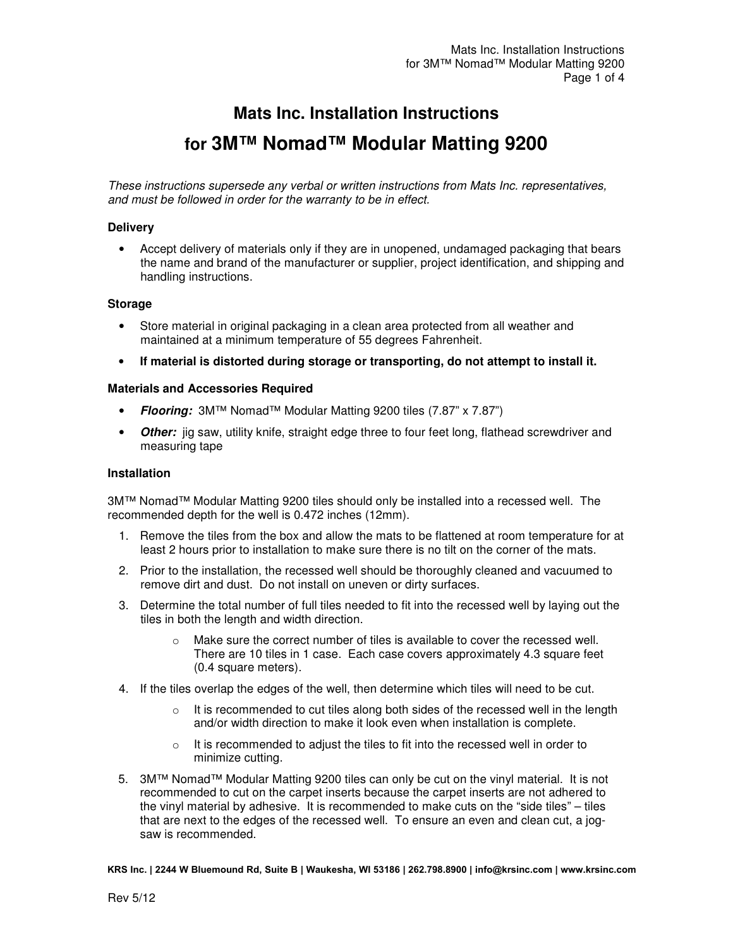# **Mats Inc. Installation Instructions for 3M™ Nomad™ Modular Matting 9200**

These instructions supersede any verbal or written instructions from Mats Inc. representatives, and must be followed in order for the warranty to be in effect.

#### **Delivery**

• Accept delivery of materials only if they are in unopened, undamaged packaging that bears the name and brand of the manufacturer or supplier, project identification, and shipping and handling instructions.

# **Storage**

- Store material in original packaging in a clean area protected from all weather and maintained at a minimum temperature of 55 degrees Fahrenheit.
- **If material is distorted during storage or transporting, do not attempt to install it.**

## **Materials and Accessories Required**

- **Flooring:** 3M™ Nomad™ Modular Matting 9200 tiles (7.87" x 7.87")
- **Other:** jig saw, utility knife, straight edge three to four feet long, flathead screwdriver and measuring tape

# **Installation**

3M™ Nomad™ Modular Matting 9200 tiles should only be installed into a recessed well. The recommended depth for the well is 0.472 inches (12mm).

- 1. Remove the tiles from the box and allow the mats to be flattened at room temperature for at least 2 hours prior to installation to make sure there is no tilt on the corner of the mats.
- 2. Prior to the installation, the recessed well should be thoroughly cleaned and vacuumed to remove dirt and dust. Do not install on uneven or dirty surfaces.
- 3. Determine the total number of full tiles needed to fit into the recessed well by laying out the tiles in both the length and width direction.
	- Make sure the correct number of tiles is available to cover the recessed well. There are 10 tiles in 1 case. Each case covers approximately 4.3 square feet (0.4 square meters).
- 4. If the tiles overlap the edges of the well, then determine which tiles will need to be cut.
	- o It is recommended to cut tiles along both sides of the recessed well in the length and/or width direction to make it look even when installation is complete.
	- o It is recommended to adjust the tiles to fit into the recessed well in order to minimize cutting.
- 5. 3M™ Nomad™ Modular Matting 9200 tiles can only be cut on the vinyl material. It is not recommended to cut on the carpet inserts because the carpet inserts are not adhered to the vinyl material by adhesive. It is recommended to make cuts on the "side tiles" – tiles that are next to the edges of the recessed well. To ensure an even and clean cut, a jogsaw is recommended.

**KRS Inc. | 2244 W Bluemound Rd, Suite B | Waukesha, WI 53186 | 262.798.8900 | info@krsinc.com | www.krsinc.com**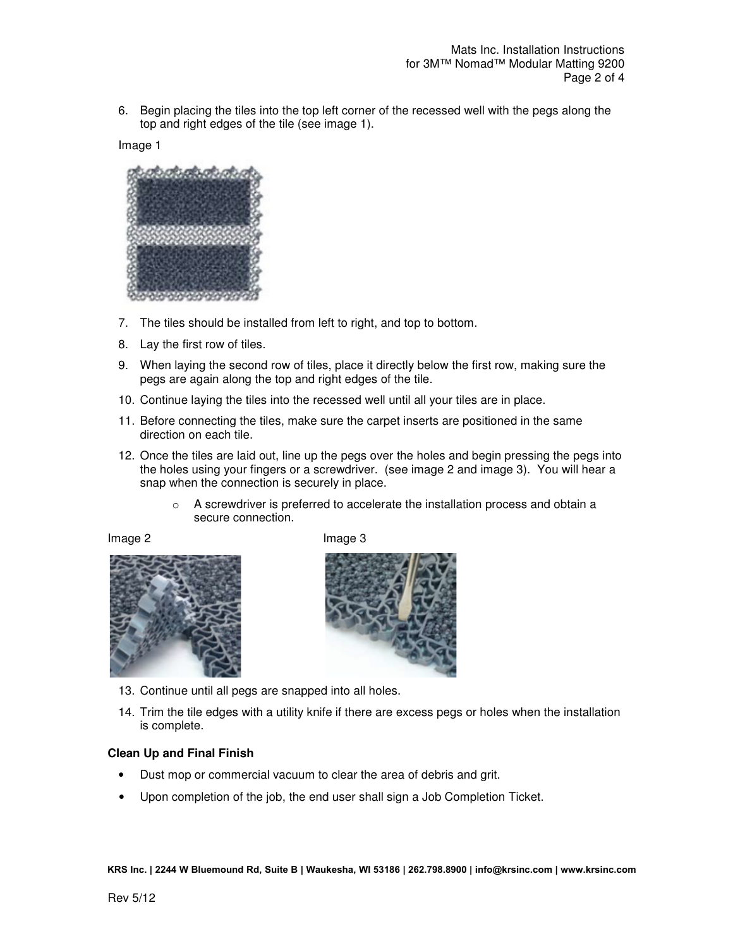6. Begin placing the tiles into the top left corner of the recessed well with the pegs along the top and right edges of the tile (see image 1).

Image 1



- 7. The tiles should be installed from left to right, and top to bottom.
- 8. Lay the first row of tiles.
- 9. When laying the second row of tiles, place it directly below the first row, making sure the pegs are again along the top and right edges of the tile.
- 10. Continue laying the tiles into the recessed well until all your tiles are in place.
- 11. Before connecting the tiles, make sure the carpet inserts are positioned in the same direction on each tile.
- 12. Once the tiles are laid out, line up the pegs over the holes and begin pressing the pegs into the holes using your fingers or a screwdriver. (see image 2 and image 3). You will hear a snap when the connection is securely in place.
	- o A screwdriver is preferred to accelerate the installation process and obtain a secure connection.



Image 2 **Image 3** 



- 13. Continue until all pegs are snapped into all holes.
- 14. Trim the tile edges with a utility knife if there are excess pegs or holes when the installation is complete.

# **Clean Up and Final Finish**

- Dust mop or commercial vacuum to clear the area of debris and grit.
- Upon completion of the job, the end user shall sign a Job Completion Ticket.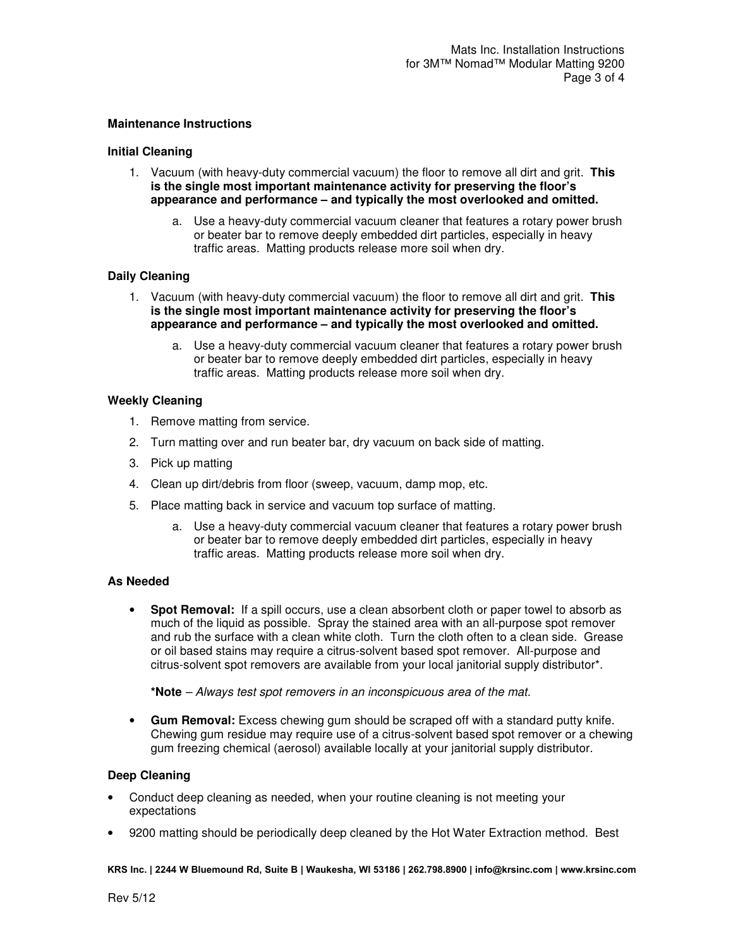#### **Maintenance Instructions**

#### **Initial Cleaning**

- 1. Vacuum (with heavy-duty commercial vacuum) the floor to remove all dirt and grit. **This is the single most important maintenance activity for preserving the floor's appearance and performance – and typically the most overlooked and omitted.**
	- a. Use a heavy-duty commercial vacuum cleaner that features a rotary power brush or beater bar to remove deeply embedded dirt particles, especially in heavy traffic areas. Matting products release more soil when dry.

## **Daily Cleaning**

- 1. Vacuum (with heavy-duty commercial vacuum) the floor to remove all dirt and grit. **This is the single most important maintenance activity for preserving the floor's appearance and performance – and typically the most overlooked and omitted.**
	- a. Use a heavy-duty commercial vacuum cleaner that features a rotary power brush or beater bar to remove deeply embedded dirt particles, especially in heavy traffic areas. Matting products release more soil when dry.

## **Weekly Cleaning**

- 1. Remove matting from service.
- 2. Turn matting over and run beater bar, dry vacuum on back side of matting.
- 3. Pick up matting
- 4. Clean up dirt/debris from floor (sweep, vacuum, damp mop, etc.
- 5. Place matting back in service and vacuum top surface of matting.
	- a. Use a heavy-duty commercial vacuum cleaner that features a rotary power brush or beater bar to remove deeply embedded dirt particles, especially in heavy traffic areas. Matting products release more soil when dry.

#### **As Needed**

• **Spot Removal:** If a spill occurs, use a clean absorbent cloth or paper towel to absorb as much of the liquid as possible. Spray the stained area with an all-purpose spot remover and rub the surface with a clean white cloth. Turn the cloth often to a clean side. Grease or oil based stains may require a citrus-solvent based spot remover. All-purpose and citrus-solvent spot removers are available from your local janitorial supply distributor\*.

**\*Note** – Always test spot removers in an inconspicuous area of the mat.

• **Gum Removal:** Excess chewing gum should be scraped off with a standard putty knife. Chewing gum residue may require use of a citrus-solvent based spot remover or a chewing gum freezing chemical (aerosol) available locally at your janitorial supply distributor.

#### **Deep Cleaning**

- Conduct deep cleaning as needed, when your routine cleaning is not meeting your expectations
- 9200 matting should be periodically deep cleaned by the Hot Water Extraction method. Best

**KRS Inc. | 2244 W Bluemound Rd, Suite B | Waukesha, WI 53186 | 262.798.8900 | info@krsinc.com | www.krsinc.com**